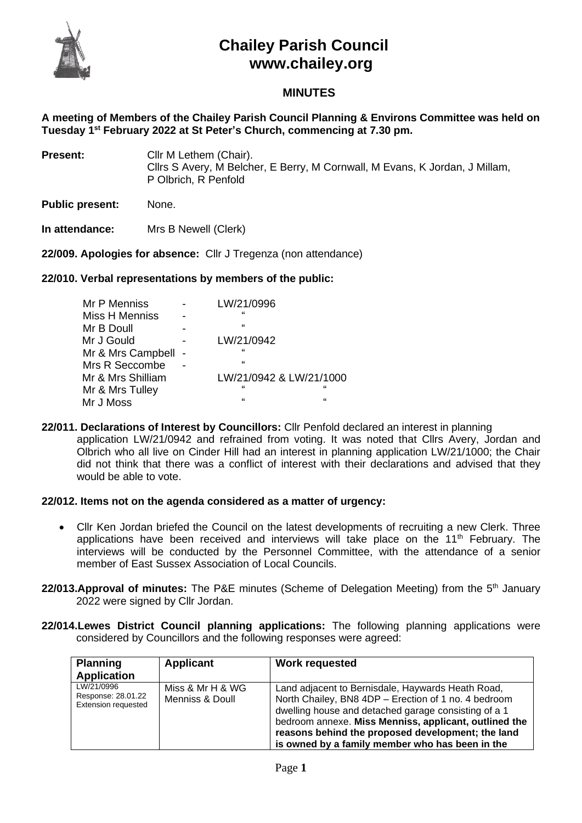

# **Chailey Parish Council www.chailey.org**

## **MINUTES**

**A meeting of Members of the Chailey Parish Council Planning & Environs Committee was held on Tuesday 1 st February 2022 at St Peter's Church, commencing at 7.30 pm.**

- **Present:** Cllr M Lethem (Chair). Cllrs S Avery, M Belcher, E Berry, M Cornwall, M Evans, K Jordan, J Millam, P Olbrich, R Penfold
- **Public present:** None.

**In attendance:** Mrs B Newell (Clerk)

**22/009. Apologies for absence:** Cllr J Tregenza (non attendance)

## **22/010. Verbal representations by members of the public:**

| Mr P Menniss      | LW/21/0996              |   |
|-------------------|-------------------------|---|
| Miss H Menniss    | $\epsilon$              |   |
| Mr B Doull        | $\epsilon$              |   |
| Mr J Gould        | LW/21/0942              |   |
| Mr & Mrs Campbell | $\epsilon$              |   |
| Mrs R Seccombe    | $\epsilon$              |   |
| Mr & Mrs Shilliam | LW/21/0942 & LW/21/1000 |   |
| Mr & Mrs Tulley   | $\epsilon$              | " |
| Mr J Moss         | $\mathbf{G}$            | " |

**22/011. Declarations of Interest by Councillors:** Cllr Penfold declared an interest in planning application LW/21/0942 and refrained from voting. It was noted that Cllrs Avery, Jordan and Olbrich who all live on Cinder Hill had an interest in planning application LW/21/1000; the Chair did not think that there was a conflict of interest with their declarations and advised that they would be able to vote.

## **22/012. Items not on the agenda considered as a matter of urgency:**

- Cllr Ken Jordan briefed the Council on the latest developments of recruiting a new Clerk. Three applications have been received and interviews will take place on the  $11<sup>th</sup>$  February. The interviews will be conducted by the Personnel Committee, with the attendance of a senior member of East Sussex Association of Local Councils.
- 22/013. Approval of minutes: The P&E minutes (Scheme of Delegation Meeting) from the 5<sup>th</sup> January 2022 were signed by Cllr Jordan.
- **22/014.Lewes District Council planning applications:** The following planning applications were considered by Councillors and the following responses were agreed:

| <b>Planning</b><br><b>Application</b>                          | Applicant                           | <b>Work requested</b>                                                                                                                                                                                                                                                                                                              |
|----------------------------------------------------------------|-------------------------------------|------------------------------------------------------------------------------------------------------------------------------------------------------------------------------------------------------------------------------------------------------------------------------------------------------------------------------------|
| LW/21/0996<br>Response: 28.01.22<br><b>Extension requested</b> | Miss & Mr H & WG<br>Menniss & Doull | Land adjacent to Bernisdale, Haywards Heath Road,<br>North Chailey, BN8 4DP - Erection of 1 no. 4 bedroom<br>dwelling house and detached garage consisting of a 1<br>bedroom annexe. Miss Menniss, applicant, outlined the<br>reasons behind the proposed development; the land<br>is owned by a family member who has been in the |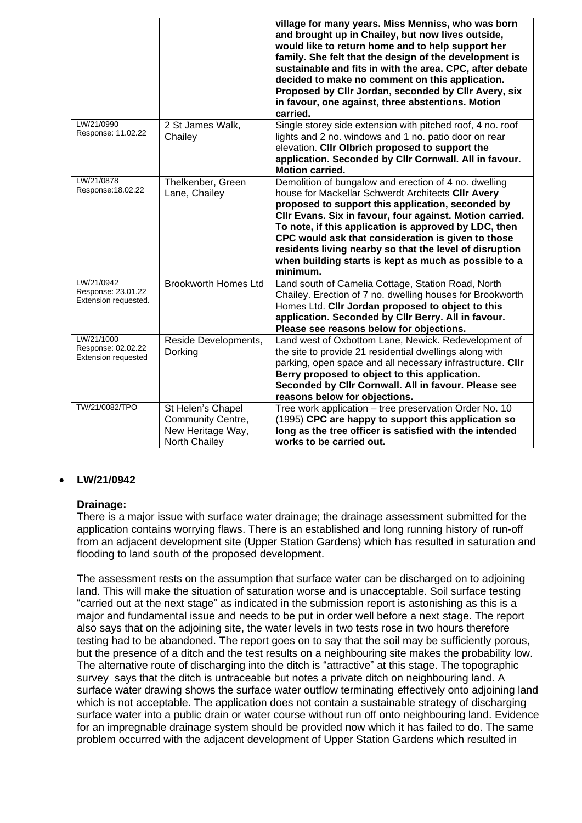|                                                                |                                                                              | village for many years. Miss Menniss, who was born<br>and brought up in Chailey, but now lives outside,<br>would like to return home and to help support her<br>family. She felt that the design of the development is<br>sustainable and fits in with the area. CPC, after debate<br>decided to make no comment on this application.<br>Proposed by Cllr Jordan, seconded by Cllr Avery, six<br>in favour, one against, three abstentions. Motion<br>carried.              |
|----------------------------------------------------------------|------------------------------------------------------------------------------|-----------------------------------------------------------------------------------------------------------------------------------------------------------------------------------------------------------------------------------------------------------------------------------------------------------------------------------------------------------------------------------------------------------------------------------------------------------------------------|
| LW/21/0990<br>Response: 11.02.22                               | 2 St James Walk,<br>Chailey                                                  | Single storey side extension with pitched roof, 4 no. roof<br>lights and 2 no. windows and 1 no. patio door on rear<br>elevation. Cllr Olbrich proposed to support the<br>application. Seconded by Cllr Cornwall. All in favour.<br><b>Motion carried.</b>                                                                                                                                                                                                                  |
| LW/21/0878<br>Response: 18.02.22                               | Thelkenber, Green<br>Lane, Chailey                                           | Demolition of bungalow and erection of 4 no. dwelling<br>house for Mackellar Schwerdt Architects CIIr Avery<br>proposed to support this application, seconded by<br>Cllr Evans. Six in favour, four against. Motion carried.<br>To note, if this application is approved by LDC, then<br>CPC would ask that consideration is given to those<br>residents living nearby so that the level of disruption<br>when building starts is kept as much as possible to a<br>minimum. |
| LW/21/0942<br>Response: 23.01.22<br>Extension requested.       | <b>Brookworth Homes Ltd</b>                                                  | Land south of Camelia Cottage, Station Road, North<br>Chailey. Erection of 7 no. dwelling houses for Brookworth<br>Homes Ltd. Cllr Jordan proposed to object to this<br>application. Seconded by Cllr Berry. All in favour.<br>Please see reasons below for objections.                                                                                                                                                                                                     |
| LW/21/1000<br>Response: 02.02.22<br><b>Extension requested</b> | Reside Developments,<br>Dorking                                              | Land west of Oxbottom Lane, Newick. Redevelopment of<br>the site to provide 21 residential dwellings along with<br>parking, open space and all necessary infrastructure. Clir<br>Berry proposed to object to this application.<br>Seconded by Cllr Cornwall. All in favour. Please see<br>reasons below for objections.                                                                                                                                                     |
| TW/21/0082/TPO                                                 | St Helen's Chapel<br>Community Centre,<br>New Heritage Way,<br>North Chailey | Tree work application - tree preservation Order No. 10<br>(1995) CPC are happy to support this application so<br>long as the tree officer is satisfied with the intended<br>works to be carried out.                                                                                                                                                                                                                                                                        |

## • **LW/21/0942**

## **Drainage:**

There is a major issue with surface water drainage; the drainage assessment submitted for the application contains worrying flaws. There is an established and long running history of run-off from an adjacent development site (Upper Station Gardens) which has resulted in saturation and flooding to land south of the proposed development.

The assessment rests on the assumption that surface water can be discharged on to adjoining land. This will make the situation of saturation worse and is unacceptable. Soil surface testing "carried out at the next stage" as indicated in the submission report is astonishing as this is a major and fundamental issue and needs to be put in order well before a next stage. The report also says that on the adjoining site, the water levels in two tests rose in two hours therefore testing had to be abandoned. The report goes on to say that the soil may be sufficiently porous, but the presence of a ditch and the test results on a neighbouring site makes the probability low. The alternative route of discharging into the ditch is "attractive" at this stage. The topographic survey says that the ditch is untraceable but notes a private ditch on neighbouring land. A surface water drawing shows the surface water outflow terminating effectively onto adjoining land which is not acceptable. The application does not contain a sustainable strategy of discharging surface water into a public drain or water course without run off onto neighbouring land. Evidence for an impregnable drainage system should be provided now which it has failed to do. The same problem occurred with the adjacent development of Upper Station Gardens which resulted in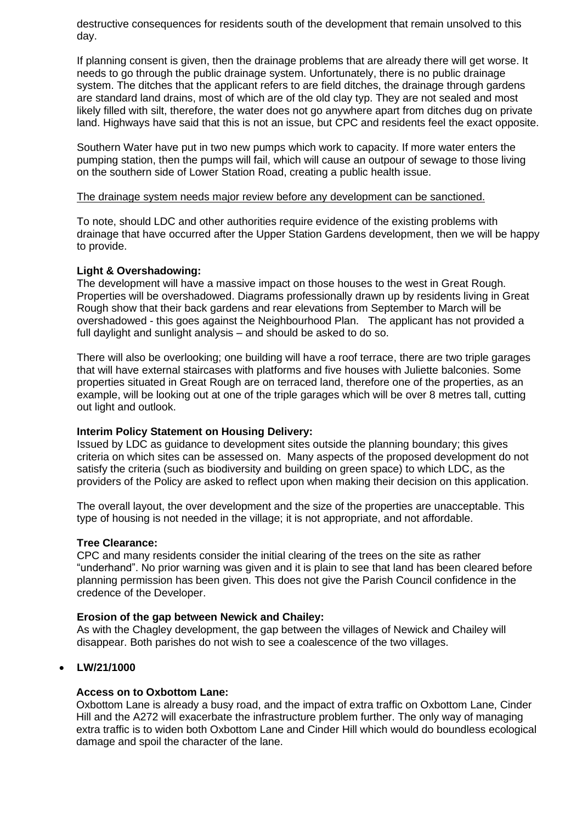destructive consequences for residents south of the development that remain unsolved to this day.

If planning consent is given, then the drainage problems that are already there will get worse. It needs to go through the public drainage system. Unfortunately, there is no public drainage system. The ditches that the applicant refers to are field ditches, the drainage through gardens are standard land drains, most of which are of the old clay typ. They are not sealed and most likely filled with silt, therefore, the water does not go anywhere apart from ditches dug on private land. Highways have said that this is not an issue, but CPC and residents feel the exact opposite.

Southern Water have put in two new pumps which work to capacity. If more water enters the pumping station, then the pumps will fail, which will cause an outpour of sewage to those living on the southern side of Lower Station Road, creating a public health issue.

#### The drainage system needs major review before any development can be sanctioned.

To note, should LDC and other authorities require evidence of the existing problems with drainage that have occurred after the Upper Station Gardens development, then we will be happy to provide.

#### **Light & Overshadowing:**

The development will have a massive impact on those houses to the west in Great Rough. Properties will be overshadowed. Diagrams professionally drawn up by residents living in Great Rough show that their back gardens and rear elevations from September to March will be overshadowed - this goes against the Neighbourhood Plan. The applicant has not provided a full daylight and sunlight analysis – and should be asked to do so.

There will also be overlooking; one building will have a roof terrace, there are two triple garages that will have external staircases with platforms and five houses with Juliette balconies. Some properties situated in Great Rough are on terraced land, therefore one of the properties, as an example, will be looking out at one of the triple garages which will be over 8 metres tall, cutting out light and outlook.

## **Interim Policy Statement on Housing Delivery:**

Issued by LDC as guidance to development sites outside the planning boundary; this gives criteria on which sites can be assessed on. Many aspects of the proposed development do not satisfy the criteria (such as biodiversity and building on green space) to which LDC, as the providers of the Policy are asked to reflect upon when making their decision on this application.

The overall layout, the over development and the size of the properties are unacceptable. This type of housing is not needed in the village; it is not appropriate, and not affordable.

#### **Tree Clearance:**

CPC and many residents consider the initial clearing of the trees on the site as rather "underhand". No prior warning was given and it is plain to see that land has been cleared before planning permission has been given. This does not give the Parish Council confidence in the credence of the Developer.

#### **Erosion of the gap between Newick and Chailey:**

As with the Chagley development, the gap between the villages of Newick and Chailey will disappear. Both parishes do not wish to see a coalescence of the two villages.

## • **LW/21/1000**

#### **Access on to Oxbottom Lane:**

Oxbottom Lane is already a busy road, and the impact of extra traffic on Oxbottom Lane, Cinder Hill and the A272 will exacerbate the infrastructure problem further. The only way of managing extra traffic is to widen both Oxbottom Lane and Cinder Hill which would do boundless ecological damage and spoil the character of the lane.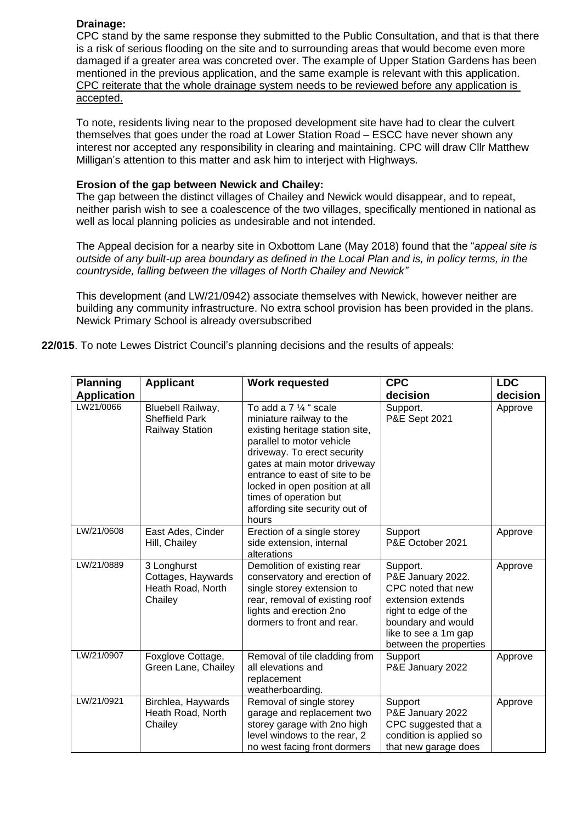## **Drainage:**

CPC stand by the same response they submitted to the Public Consultation, and that is that there is a risk of serious flooding on the site and to surrounding areas that would become even more damaged if a greater area was concreted over. The example of Upper Station Gardens has been mentioned in the previous application, and the same example is relevant with this application. CPC reiterate that the whole drainage system needs to be reviewed before any application is accepted.

To note, residents living near to the proposed development site have had to clear the culvert themselves that goes under the road at Lower Station Road – ESCC have never shown any interest nor accepted any responsibility in clearing and maintaining. CPC will draw Cllr Matthew Milligan's attention to this matter and ask him to interject with Highways.

#### **Erosion of the gap between Newick and Chailey:**

The gap between the distinct villages of Chailey and Newick would disappear, and to repeat, neither parish wish to see a coalescence of the two villages, specifically mentioned in national as well as local planning policies as undesirable and not intended.

The Appeal decision for a nearby site in Oxbottom Lane (May 2018) found that the "*appeal site is outside of any built-up area boundary as defined in the Local Plan and is, in policy terms, in the countryside, falling between the villages of North Chailey and Newick"*

This development (and LW/21/0942) associate themselves with Newick, however neither are building any community infrastructure. No extra school provision has been provided in the plans. Newick Primary School is already oversubscribed

|  |  | 22/015. To note Lewes District Council's planning decisions and the results of appeals: |  |  |  |
|--|--|-----------------------------------------------------------------------------------------|--|--|--|
|  |  |                                                                                         |  |  |  |

| <b>Planning</b>    | <b>Applicant</b>                                                     | <b>Work requested</b>                                                                                                                                                                                                                                                                                                      | <b>CPC</b>                                                                                                                                                               | <b>LDC</b> |
|--------------------|----------------------------------------------------------------------|----------------------------------------------------------------------------------------------------------------------------------------------------------------------------------------------------------------------------------------------------------------------------------------------------------------------------|--------------------------------------------------------------------------------------------------------------------------------------------------------------------------|------------|
| <b>Application</b> |                                                                      |                                                                                                                                                                                                                                                                                                                            | decision                                                                                                                                                                 | decision   |
| LW21/0066          | Bluebell Railway,<br><b>Sheffield Park</b><br><b>Railway Station</b> | To add a 7 1/4 " scale<br>miniature railway to the<br>existing heritage station site,<br>parallel to motor vehicle<br>driveway. To erect security<br>gates at main motor driveway<br>entrance to east of site to be<br>locked in open position at all<br>times of operation but<br>affording site security out of<br>hours | Support.<br>P&E Sept 2021                                                                                                                                                | Approve    |
| LW/21/0608         | East Ades, Cinder<br>Hill, Chailey                                   | Erection of a single storey<br>side extension, internal<br>alterations                                                                                                                                                                                                                                                     | Support<br>P&E October 2021                                                                                                                                              | Approve    |
| LW/21/0889         | 3 Longhurst<br>Cottages, Haywards<br>Heath Road, North<br>Chailey    | Demolition of existing rear<br>conservatory and erection of<br>single storey extension to<br>rear, removal of existing roof<br>lights and erection 2no<br>dormers to front and rear.                                                                                                                                       | Support.<br>P&E January 2022.<br>CPC noted that new<br>extension extends<br>right to edge of the<br>boundary and would<br>like to see a 1m gap<br>between the properties | Approve    |
| LW/21/0907         | Foxglove Cottage,<br>Green Lane, Chailey                             | Removal of tile cladding from<br>all elevations and<br>replacement<br>weatherboarding.                                                                                                                                                                                                                                     | Support<br>P&E January 2022                                                                                                                                              | Approve    |
| LW/21/0921         | Birchlea, Haywards<br>Heath Road, North<br>Chailey                   | Removal of single storey<br>garage and replacement two<br>storey garage with 2no high<br>level windows to the rear, 2<br>no west facing front dormers                                                                                                                                                                      | Support<br>P&E January 2022<br>CPC suggested that a<br>condition is applied so<br>that new garage does                                                                   | Approve    |